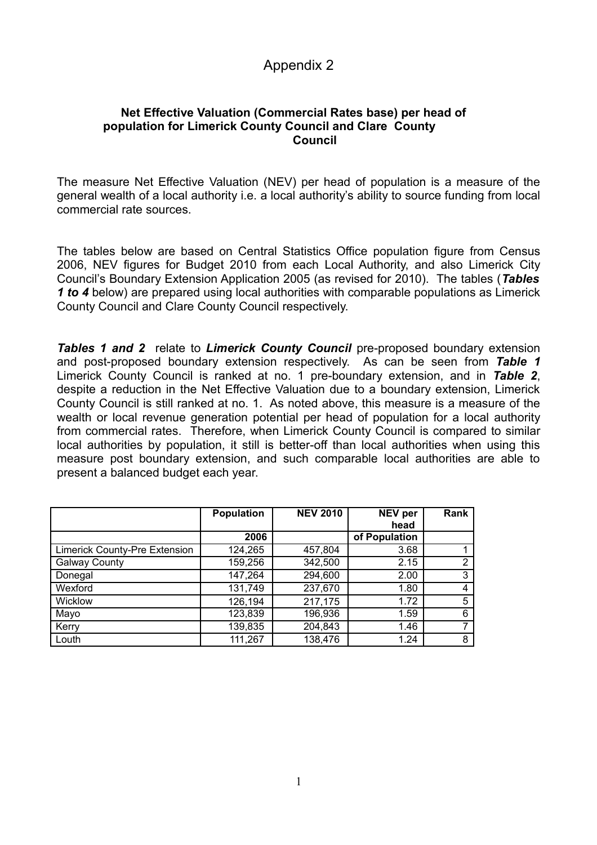## Appendix 2

## **Net Effective Valuation (Commercial Rates base) per head of population for Limerick County Council and Clare County Council**

The measure Net Effective Valuation (NEV) per head of population is a measure of the general wealth of a local authority i.e. a local authority's ability to source funding from local commercial rate sources.

The tables below are based on Central Statistics Office population figure from Census 2006, NEV figures for Budget 2010 from each Local Authority, and also Limerick City Council's Boundary Extension Application 2005 (as revised for 2010). The tables (*Tables 1 to 4* below) are prepared using local authorities with comparable populations as Limerick County Council and Clare County Council respectively.

**Tables 1 and 2** relate to *Limerick County Council* pre-proposed boundary extension and post-proposed boundary extension respectively. As can be seen from *Table 1* Limerick County Council is ranked at no. 1 pre-boundary extension, and in *Table 2*, despite a reduction in the Net Effective Valuation due to a boundary extension, Limerick County Council is still ranked at no. 1. As noted above, this measure is a measure of the wealth or local revenue generation potential per head of population for a local authority from commercial rates. Therefore, when Limerick County Council is compared to similar local authorities by population, it still is better-off than local authorities when using this measure post boundary extension, and such comparable local authorities are able to present a balanced budget each year.

|                               | Population | <b>NEV 2010</b> | NEV per       | Rank           |
|-------------------------------|------------|-----------------|---------------|----------------|
|                               |            |                 | head          |                |
|                               | 2006       |                 | of Population |                |
| Limerick County-Pre Extension | 124,265    | 457,804         | 3.68          |                |
| <b>Galway County</b>          | 159,256    | 342,500         | 2.15          | $\overline{2}$ |
| Donegal                       | 147,264    | 294,600         | 2.00          | 3              |
| Wexford                       | 131,749    | 237,670         | 1.80          | $\overline{4}$ |
| <b>Wicklow</b>                | 126,194    | 217,175         | 1.72          | 5              |
| Mayo                          | 123,839    | 196,936         | 1.59          | 6              |
| Kerry                         | 139,835    | 204,843         | 1.46          | ⇁              |
| Louth                         | 111,267    | 138,476         | 1.24          | 8              |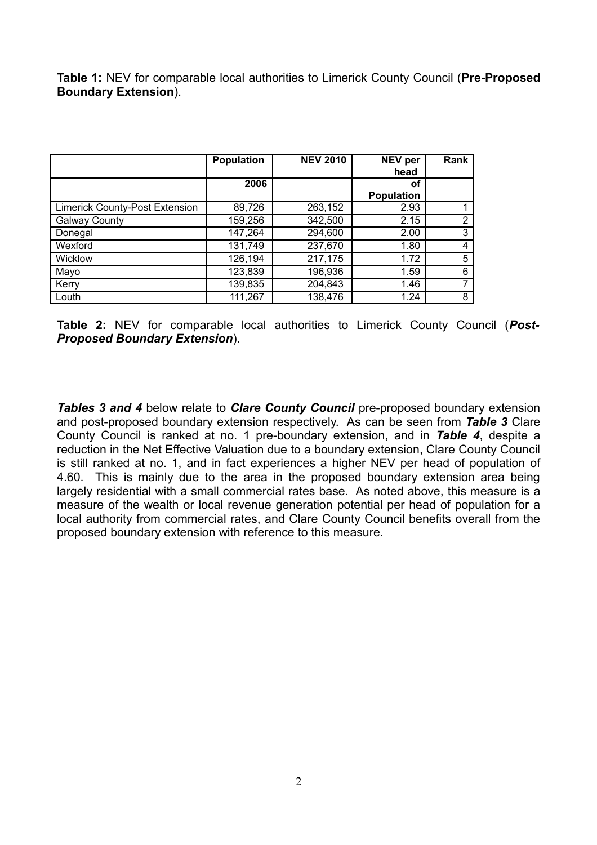**Table 1:** NEV for comparable local authorities to Limerick County Council (**Pre-Proposed Boundary Extension**).

|                                       | <b>Population</b> | <b>NEV 2010</b> | <b>NEV per</b><br>head | Rank |
|---------------------------------------|-------------------|-----------------|------------------------|------|
|                                       | 2006              |                 | οf                     |      |
|                                       |                   |                 | <b>Population</b>      |      |
| <b>Limerick County-Post Extension</b> | 89,726            | 263,152         | 2.93                   |      |
| <b>Galway County</b>                  | 159,256           | 342,500         | 2.15                   | 2    |
| Donegal                               | 147,264           | 294,600         | 2.00                   | 3    |
| Wexford                               | 131,749           | 237,670         | 1.80                   | 4    |
| Wicklow                               | 126,194           | 217,175         | 1.72                   | 5    |
| Mayo                                  | 123,839           | 196,936         | 1.59                   | 6    |
| Kerry                                 | 139,835           | 204,843         | 1.46                   | 7    |
| Louth                                 | 111,267           | 138,476         | 1.24                   | 8    |

**Table 2:** NEV for comparable local authorities to Limerick County Council (*Post-Proposed Boundary Extension*).

*Tables 3 and 4* below relate to *Clare County Council* pre-proposed boundary extension and post-proposed boundary extension respectively. As can be seen from *Table 3* Clare County Council is ranked at no. 1 pre-boundary extension, and in *Table 4*, despite a reduction in the Net Effective Valuation due to a boundary extension, Clare County Council is still ranked at no. 1, and in fact experiences a higher NEV per head of population of 4.60. This is mainly due to the area in the proposed boundary extension area being largely residential with a small commercial rates base. As noted above, this measure is a measure of the wealth or local revenue generation potential per head of population for a local authority from commercial rates, and Clare County Council benefits overall from the proposed boundary extension with reference to this measure.